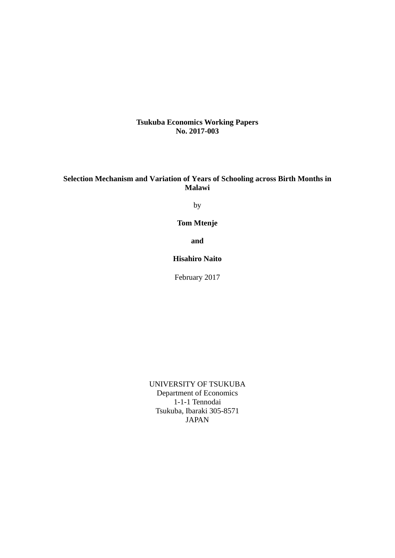**Tsukuba Economics Working Papers No. 2017-003**

### **Selection Mechanism and Variation of Years of Schooling across Birth Months in Malawi**

by

**Tom Mtenje** 

**and** 

**Hisahiro Naito** 

February 2017

UNIVERSITY OF TSUKUBA Department of Economics 1-1-1 Tennodai Tsukuba, Ibaraki 305-8571 JAPAN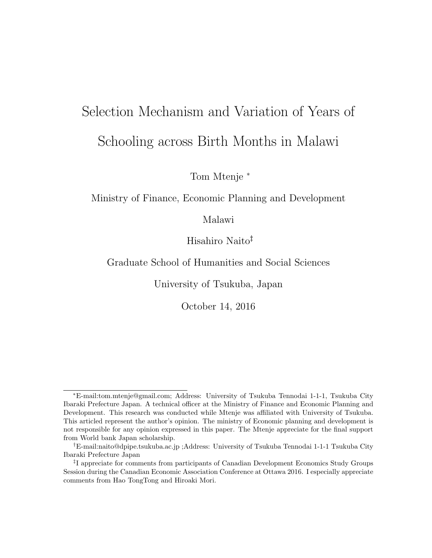# Selection Mechanism and Variation of Years of Schooling across Birth Months in Malawi

Tom Mtenje <sup>∗</sup>

Ministry of Finance, Economic Planning and Development

Malawi

Hisahiro Naito†‡

Graduate School of Humanities and Social Sciences

University of Tsukuba, Japan

October 14, 2016

<sup>∗</sup>E-mail:tom.mtenje@gmail.com; Address: University of Tsukuba Tennodai 1-1-1, Tsukuba City Ibaraki Prefecture Japan. A technical officer at the Ministry of Finance and Economic Planning and Development. This research was conducted while Mtenje was affiliated with University of Tsukuba. This articled represent the author's opinion. The ministry of Economic planning and development is not responsible for any opinion expressed in this paper. The Mtenje appreciate for the final support from World bank Japan scholarship.

<sup>†</sup>E-mail:naito@dpipe.tsukuba.ac.jp ;Address: University of Tsukuba Tennodai 1-1-1 Tsukuba City Ibaraki Prefecture Japan

<sup>‡</sup> I appreciate for comments from participants of Canadian Development Economics Study Groups Session during the Canadian Economic Association Conference at Ottawa 2016. I especially appreciate comments from Hao TongTong and Hiroaki Mori.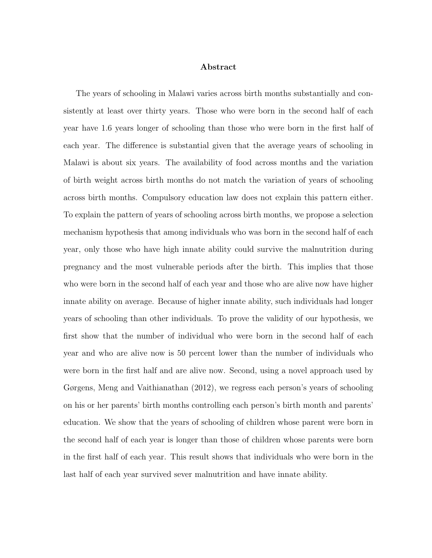#### Abstract

The years of schooling in Malawi varies across birth months substantially and consistently at least over thirty years. Those who were born in the second half of each year have 1.6 years longer of schooling than those who were born in the first half of each year. The difference is substantial given that the average years of schooling in Malawi is about six years. The availability of food across months and the variation of birth weight across birth months do not match the variation of years of schooling across birth months. Compulsory education law does not explain this pattern either. To explain the pattern of years of schooling across birth months, we propose a selection mechanism hypothesis that among individuals who was born in the second half of each year, only those who have high innate ability could survive the malnutrition during pregnancy and the most vulnerable periods after the birth. This implies that those who were born in the second half of each year and those who are alive now have higher innate ability on average. Because of higher innate ability, such individuals had longer years of schooling than other individuals. To prove the validity of our hypothesis, we first show that the number of individual who were born in the second half of each year and who are alive now is 50 percent lower than the number of individuals who were born in the first half and are alive now. Second, using a novel approach used by Gørgens, Meng and Vaithianathan (2012), we regress each person's years of schooling on his or her parents' birth months controlling each person's birth month and parents' education. We show that the years of schooling of children whose parent were born in the second half of each year is longer than those of children whose parents were born in the first half of each year. This result shows that individuals who were born in the last half of each year survived sever malnutrition and have innate ability.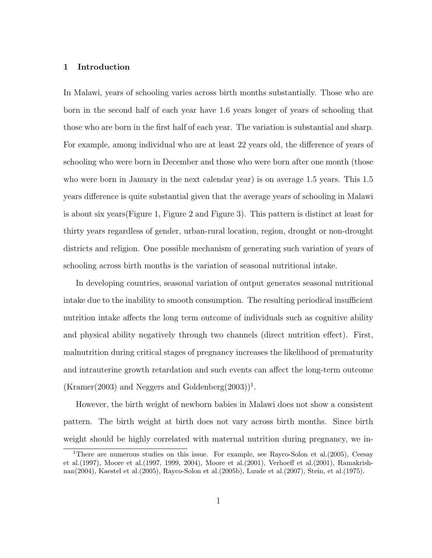#### 1 Introduction

In Malawi, years of schooling varies across birth months substantially. Those who are born in the second half of each year have 1.6 years longer of years of schooling that those who are born in the first half of each year. The variation is substantial and sharp. For example, among individual who are at least 22 years old, the difference of years of schooling who were born in December and those who were born after one month (those who were born in January in the next calendar year) is on average 1.5 years. This 1.5 years difference is quite substantial given that the average years of schooling in Malawi is about six years(Figure 1, Figure 2 and Figure 3). This pattern is distinct at least for thirty years regardless of gender, urban-rural location, region, drought or non-drought districts and religion. One possible mechanism of generating such variation of years of schooling across birth months is the variation of seasonal nutritional intake.

In developing countries, seasonal variation of output generates seasonal nutritional intake due to the inability to smooth consumption. The resulting periodical insufficient nutrition intake affects the long term outcome of individuals such as cognitive ability and physical ability negatively through two channels (direct nutrition effect). First, malnutrition during critical stages of pregnancy increases the likelihood of prematurity and intrauterine growth retardation and such events can affect the long-term outcome  $(Kramer(2003)$  and Neggers and Goldenberg $(2003))^1$ .

However, the birth weight of newborn babies in Malawi does not show a consistent pattern. The birth weight at birth does not vary across birth months. Since birth weight should be highly correlated with maternal nutrition during pregnancy, we in-

<sup>&</sup>lt;sup>1</sup>There are numerous studies on this issue. For example, see Rayco-Solon et al. (2005), Ceesay et al.(1997), Moore et al.(1997, 1999, 2004), Moore et al.(2001), Verhoeff et al.(2001), Ramakrishnan(2004), Kaestel et al.(2005), Rayco-Solon et al.(2005b), Luude et al.(2007), Stein, et al.(1975).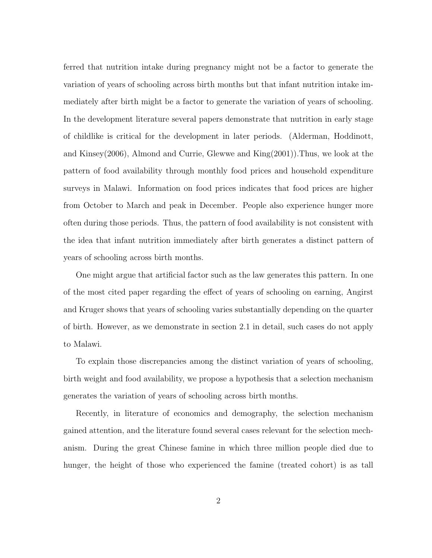ferred that nutrition intake during pregnancy might not be a factor to generate the variation of years of schooling across birth months but that infant nutrition intake immediately after birth might be a factor to generate the variation of years of schooling. In the development literature several papers demonstrate that nutrition in early stage of childlike is critical for the development in later periods. (Alderman, Hoddinott, and Kinsey(2006), Almond and Currie, Glewwe and King(2001)).Thus, we look at the pattern of food availability through monthly food prices and household expenditure surveys in Malawi. Information on food prices indicates that food prices are higher from October to March and peak in December. People also experience hunger more often during those periods. Thus, the pattern of food availability is not consistent with the idea that infant nutrition immediately after birth generates a distinct pattern of years of schooling across birth months.

One might argue that artificial factor such as the law generates this pattern. In one of the most cited paper regarding the effect of years of schooling on earning, Angirst and Kruger shows that years of schooling varies substantially depending on the quarter of birth. However, as we demonstrate in section 2.1 in detail, such cases do not apply to Malawi.

To explain those discrepancies among the distinct variation of years of schooling, birth weight and food availability, we propose a hypothesis that a selection mechanism generates the variation of years of schooling across birth months.

Recently, in literature of economics and demography, the selection mechanism gained attention, and the literature found several cases relevant for the selection mechanism. During the great Chinese famine in which three million people died due to hunger, the height of those who experienced the famine (treated cohort) is as tall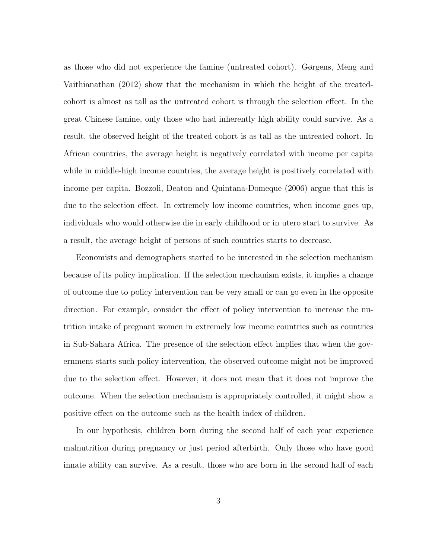as those who did not experience the famine (untreated cohort). Gørgens, Meng and Vaithianathan (2012) show that the mechanism in which the height of the treatedcohort is almost as tall as the untreated cohort is through the selection effect. In the great Chinese famine, only those who had inherently high ability could survive. As a result, the observed height of the treated cohort is as tall as the untreated cohort. In African countries, the average height is negatively correlated with income per capita while in middle-high income countries, the average height is positively correlated with income per capita. Bozzoli, Deaton and Quintana-Domeque (2006) argue that this is due to the selection effect. In extremely low income countries, when income goes up, individuals who would otherwise die in early childhood or in utero start to survive. As a result, the average height of persons of such countries starts to decrease.

Economists and demographers started to be interested in the selection mechanism because of its policy implication. If the selection mechanism exists, it implies a change of outcome due to policy intervention can be very small or can go even in the opposite direction. For example, consider the effect of policy intervention to increase the nutrition intake of pregnant women in extremely low income countries such as countries in Sub-Sahara Africa. The presence of the selection effect implies that when the government starts such policy intervention, the observed outcome might not be improved due to the selection effect. However, it does not mean that it does not improve the outcome. When the selection mechanism is appropriately controlled, it might show a positive effect on the outcome such as the health index of children.

In our hypothesis, children born during the second half of each year experience malnutrition during pregnancy or just period afterbirth. Only those who have good innate ability can survive. As a result, those who are born in the second half of each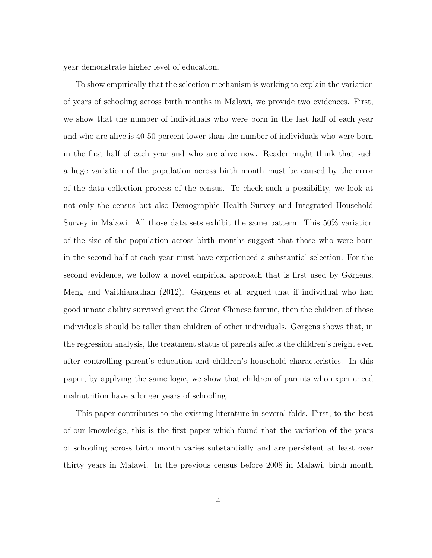year demonstrate higher level of education.

To show empirically that the selection mechanism is working to explain the variation of years of schooling across birth months in Malawi, we provide two evidences. First, we show that the number of individuals who were born in the last half of each year and who are alive is 40-50 percent lower than the number of individuals who were born in the first half of each year and who are alive now. Reader might think that such a huge variation of the population across birth month must be caused by the error of the data collection process of the census. To check such a possibility, we look at not only the census but also Demographic Health Survey and Integrated Household Survey in Malawi. All those data sets exhibit the same pattern. This 50% variation of the size of the population across birth months suggest that those who were born in the second half of each year must have experienced a substantial selection. For the second evidence, we follow a novel empirical approach that is first used by Gørgens, Meng and Vaithianathan (2012). Gørgens et al. argued that if individual who had good innate ability survived great the Great Chinese famine, then the children of those individuals should be taller than children of other individuals. Gørgens shows that, in the regression analysis, the treatment status of parents affects the children's height even after controlling parent's education and children's household characteristics. In this paper, by applying the same logic, we show that children of parents who experienced malnutrition have a longer years of schooling.

This paper contributes to the existing literature in several folds. First, to the best of our knowledge, this is the first paper which found that the variation of the years of schooling across birth month varies substantially and are persistent at least over thirty years in Malawi. In the previous census before 2008 in Malawi, birth month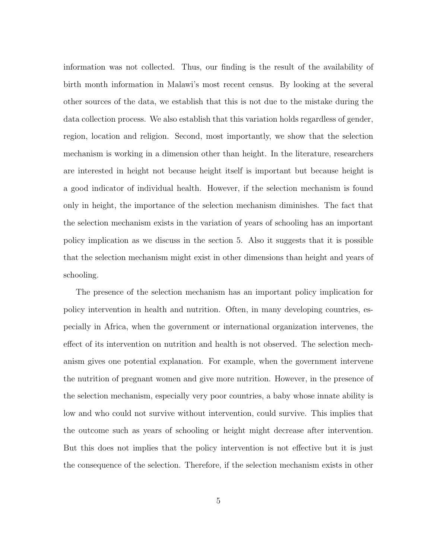information was not collected. Thus, our finding is the result of the availability of birth month information in Malawi's most recent census. By looking at the several other sources of the data, we establish that this is not due to the mistake during the data collection process. We also establish that this variation holds regardless of gender, region, location and religion. Second, most importantly, we show that the selection mechanism is working in a dimension other than height. In the literature, researchers are interested in height not because height itself is important but because height is a good indicator of individual health. However, if the selection mechanism is found only in height, the importance of the selection mechanism diminishes. The fact that the selection mechanism exists in the variation of years of schooling has an important policy implication as we discuss in the section 5. Also it suggests that it is possible that the selection mechanism might exist in other dimensions than height and years of schooling.

The presence of the selection mechanism has an important policy implication for policy intervention in health and nutrition. Often, in many developing countries, especially in Africa, when the government or international organization intervenes, the effect of its intervention on nutrition and health is not observed. The selection mechanism gives one potential explanation. For example, when the government intervene the nutrition of pregnant women and give more nutrition. However, in the presence of the selection mechanism, especially very poor countries, a baby whose innate ability is low and who could not survive without intervention, could survive. This implies that the outcome such as years of schooling or height might decrease after intervention. But this does not implies that the policy intervention is not effective but it is just the consequence of the selection. Therefore, if the selection mechanism exists in other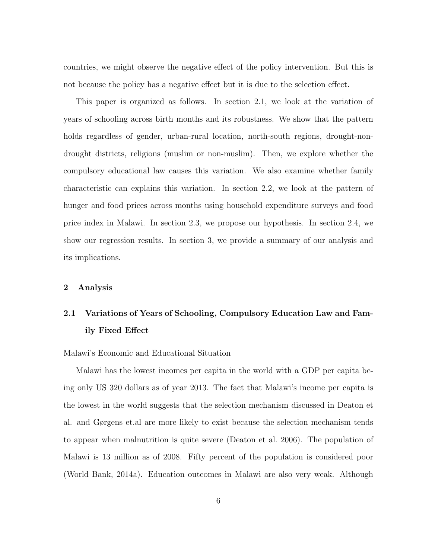countries, we might observe the negative effect of the policy intervention. But this is not because the policy has a negative effect but it is due to the selection effect.

This paper is organized as follows. In section 2.1, we look at the variation of years of schooling across birth months and its robustness. We show that the pattern holds regardless of gender, urban-rural location, north-south regions, drought-nondrought districts, religions (muslim or non-muslim). Then, we explore whether the compulsory educational law causes this variation. We also examine whether family characteristic can explains this variation. In section 2.2, we look at the pattern of hunger and food prices across months using household expenditure surveys and food price index in Malawi. In section 2.3, we propose our hypothesis. In section 2.4, we show our regression results. In section 3, we provide a summary of our analysis and its implications.

#### 2 Analysis

## 2.1 Variations of Years of Schooling, Compulsory Education Law and Family Fixed Effect

#### Malawi's Economic and Educational Situation

Malawi has the lowest incomes per capita in the world with a GDP per capita being only US 320 dollars as of year 2013. The fact that Malawi's income per capita is the lowest in the world suggests that the selection mechanism discussed in Deaton et al. and Gørgens et.al are more likely to exist because the selection mechanism tends to appear when malnutrition is quite severe (Deaton et al. 2006). The population of Malawi is 13 million as of 2008. Fifty percent of the population is considered poor (World Bank, 2014a). Education outcomes in Malawi are also very weak. Although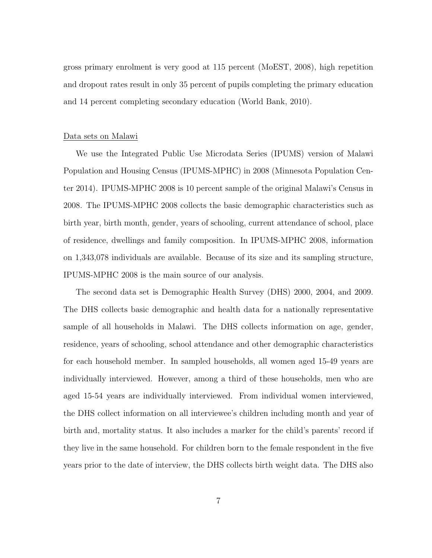gross primary enrolment is very good at 115 percent (MoEST, 2008), high repetition and dropout rates result in only 35 percent of pupils completing the primary education and 14 percent completing secondary education (World Bank, 2010).

#### Data sets on Malawi

We use the Integrated Public Use Microdata Series (IPUMS) version of Malawi Population and Housing Census (IPUMS-MPHC) in 2008 (Minnesota Population Center 2014). IPUMS-MPHC 2008 is 10 percent sample of the original Malawi's Census in 2008. The IPUMS-MPHC 2008 collects the basic demographic characteristics such as birth year, birth month, gender, years of schooling, current attendance of school, place of residence, dwellings and family composition. In IPUMS-MPHC 2008, information on 1,343,078 individuals are available. Because of its size and its sampling structure, IPUMS-MPHC 2008 is the main source of our analysis.

The second data set is Demographic Health Survey (DHS) 2000, 2004, and 2009. The DHS collects basic demographic and health data for a nationally representative sample of all households in Malawi. The DHS collects information on age, gender, residence, years of schooling, school attendance and other demographic characteristics for each household member. In sampled households, all women aged 15-49 years are individually interviewed. However, among a third of these households, men who are aged 15-54 years are individually interviewed. From individual women interviewed, the DHS collect information on all interviewee's children including month and year of birth and, mortality status. It also includes a marker for the child's parents' record if they live in the same household. For children born to the female respondent in the five years prior to the date of interview, the DHS collects birth weight data. The DHS also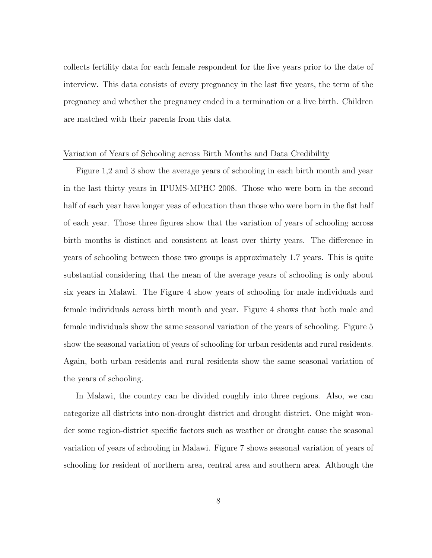collects fertility data for each female respondent for the five years prior to the date of interview. This data consists of every pregnancy in the last five years, the term of the pregnancy and whether the pregnancy ended in a termination or a live birth. Children are matched with their parents from this data.

#### Variation of Years of Schooling across Birth Months and Data Credibility

Figure 1,2 and 3 show the average years of schooling in each birth month and year in the last thirty years in IPUMS-MPHC 2008. Those who were born in the second half of each year have longer yeas of education than those who were born in the fist half of each year. Those three figures show that the variation of years of schooling across birth months is distinct and consistent at least over thirty years. The difference in years of schooling between those two groups is approximately 1.7 years. This is quite substantial considering that the mean of the average years of schooling is only about six years in Malawi. The Figure 4 show years of schooling for male individuals and female individuals across birth month and year. Figure 4 shows that both male and female individuals show the same seasonal variation of the years of schooling. Figure 5 show the seasonal variation of years of schooling for urban residents and rural residents. Again, both urban residents and rural residents show the same seasonal variation of the years of schooling.

In Malawi, the country can be divided roughly into three regions. Also, we can categorize all districts into non-drought district and drought district. One might wonder some region-district specific factors such as weather or drought cause the seasonal variation of years of schooling in Malawi. Figure 7 shows seasonal variation of years of schooling for resident of northern area, central area and southern area. Although the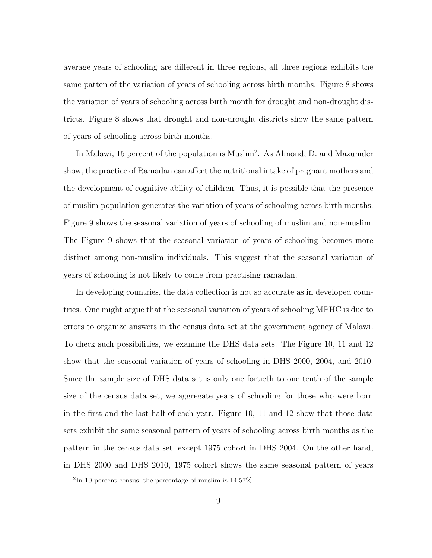average years of schooling are different in three regions, all three regions exhibits the same patten of the variation of years of schooling across birth months. Figure 8 shows the variation of years of schooling across birth month for drought and non-drought districts. Figure 8 shows that drought and non-drought districts show the same pattern of years of schooling across birth months.

In Malawi, 15 percent of the population is Muslim<sup>2</sup>. As Almond, D. and Mazumder show, the practice of Ramadan can affect the nutritional intake of pregnant mothers and the development of cognitive ability of children. Thus, it is possible that the presence of muslim population generates the variation of years of schooling across birth months. Figure 9 shows the seasonal variation of years of schooling of muslim and non-muslim. The Figure 9 shows that the seasonal variation of years of schooling becomes more distinct among non-muslim individuals. This suggest that the seasonal variation of years of schooling is not likely to come from practising ramadan.

In developing countries, the data collection is not so accurate as in developed countries. One might argue that the seasonal variation of years of schooling MPHC is due to errors to organize answers in the census data set at the government agency of Malawi. To check such possibilities, we examine the DHS data sets. The Figure 10, 11 and 12 show that the seasonal variation of years of schooling in DHS 2000, 2004, and 2010. Since the sample size of DHS data set is only one fortieth to one tenth of the sample size of the census data set, we aggregate years of schooling for those who were born in the first and the last half of each year. Figure 10, 11 and 12 show that those data sets exhibit the same seasonal pattern of years of schooling across birth months as the pattern in the census data set, except 1975 cohort in DHS 2004. On the other hand, in DHS 2000 and DHS 2010, 1975 cohort shows the same seasonal pattern of years

<sup>2</sup> In 10 percent census, the percentage of muslim is 14.57%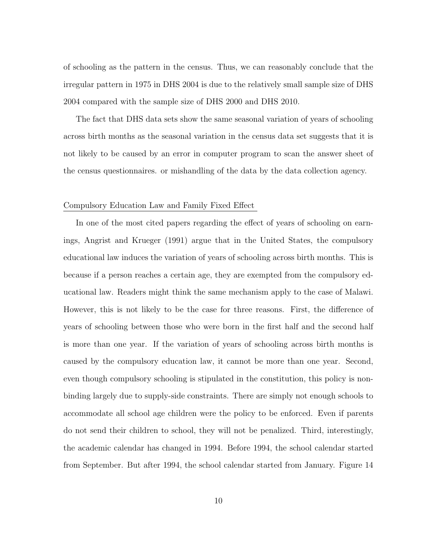of schooling as the pattern in the census. Thus, we can reasonably conclude that the irregular pattern in 1975 in DHS 2004 is due to the relatively small sample size of DHS 2004 compared with the sample size of DHS 2000 and DHS 2010.

The fact that DHS data sets show the same seasonal variation of years of schooling across birth months as the seasonal variation in the census data set suggests that it is not likely to be caused by an error in computer program to scan the answer sheet of the census questionnaires. or mishandling of the data by the data collection agency.

#### Compulsory Education Law and Family Fixed Effect

In one of the most cited papers regarding the effect of years of schooling on earnings, Angrist and Krueger (1991) argue that in the United States, the compulsory educational law induces the variation of years of schooling across birth months. This is because if a person reaches a certain age, they are exempted from the compulsory educational law. Readers might think the same mechanism apply to the case of Malawi. However, this is not likely to be the case for three reasons. First, the difference of years of schooling between those who were born in the first half and the second half is more than one year. If the variation of years of schooling across birth months is caused by the compulsory education law, it cannot be more than one year. Second, even though compulsory schooling is stipulated in the constitution, this policy is nonbinding largely due to supply-side constraints. There are simply not enough schools to accommodate all school age children were the policy to be enforced. Even if parents do not send their children to school, they will not be penalized. Third, interestingly, the academic calendar has changed in 1994. Before 1994, the school calendar started from September. But after 1994, the school calendar started from January. Figure 14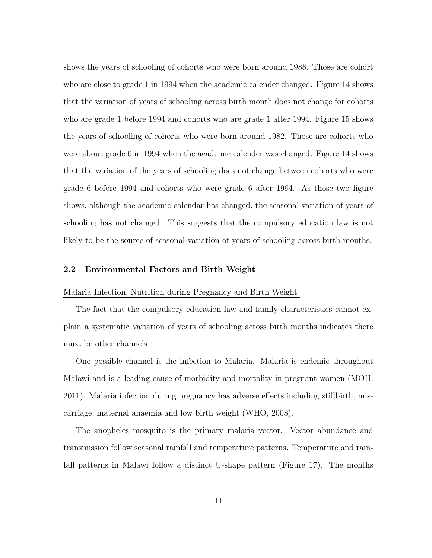shows the years of schooling of cohorts who were born around 1988. Those are cohort who are close to grade 1 in 1994 when the academic calender changed. Figure 14 shows that the variation of years of schooling across birth month does not change for cohorts who are grade 1 before 1994 and cohorts who are grade 1 after 1994. Figure 15 shows the years of schooling of cohorts who were born around 1982. Those are cohorts who were about grade 6 in 1994 when the academic calender was changed. Figure 14 shows that the variation of the years of schooling does not change between cohorts who were grade 6 before 1994 and cohorts who were grade 6 after 1994. As those two figure shows, although the academic calendar has changed, the seasonal variation of years of schooling has not changed. This suggests that the compulsory education law is not likely to be the source of seasonal variation of years of schooling across birth months.

#### 2.2 Environmental Factors and Birth Weight

#### Malaria Infection, Nutrition during Pregnancy and Birth Weight

The fact that the compulsory education law and family characteristics cannot explain a systematic variation of years of schooling across birth months indicates there must be other channels.

One possible channel is the infection to Malaria. Malaria is endemic throughout Malawi and is a leading cause of morbidity and mortality in pregnant women (MOH, 2011). Malaria infection during pregnancy has adverse effects including stillbirth, miscarriage, maternal anaemia and low birth weight (WHO, 2008).

The anopheles mosquito is the primary malaria vector. Vector abundance and transmission follow seasonal rainfall and temperature patterns. Temperature and rainfall patterns in Malawi follow a distinct U-shape pattern (Figure 17). The months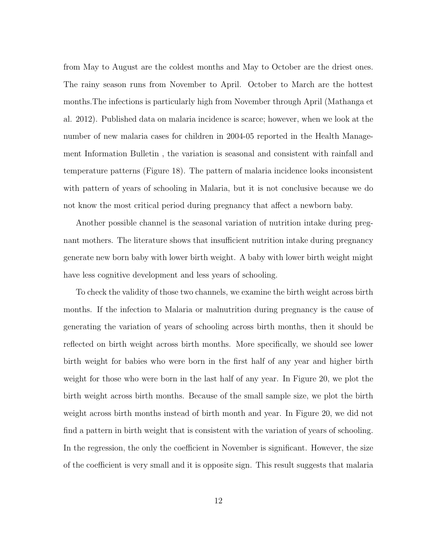from May to August are the coldest months and May to October are the driest ones. The rainy season runs from November to April. October to March are the hottest months.The infections is particularly high from November through April (Mathanga et al. 2012). Published data on malaria incidence is scarce; however, when we look at the number of new malaria cases for children in 2004-05 reported in the Health Management Information Bulletin , the variation is seasonal and consistent with rainfall and temperature patterns (Figure 18). The pattern of malaria incidence looks inconsistent with pattern of years of schooling in Malaria, but it is not conclusive because we do not know the most critical period during pregnancy that affect a newborn baby.

Another possible channel is the seasonal variation of nutrition intake during pregnant mothers. The literature shows that insufficient nutrition intake during pregnancy generate new born baby with lower birth weight. A baby with lower birth weight might have less cognitive development and less years of schooling.

To check the validity of those two channels, we examine the birth weight across birth months. If the infection to Malaria or malnutrition during pregnancy is the cause of generating the variation of years of schooling across birth months, then it should be reflected on birth weight across birth months. More specifically, we should see lower birth weight for babies who were born in the first half of any year and higher birth weight for those who were born in the last half of any year. In Figure 20, we plot the birth weight across birth months. Because of the small sample size, we plot the birth weight across birth months instead of birth month and year. In Figure 20, we did not find a pattern in birth weight that is consistent with the variation of years of schooling. In the regression, the only the coefficient in November is significant. However, the size of the coefficient is very small and it is opposite sign. This result suggests that malaria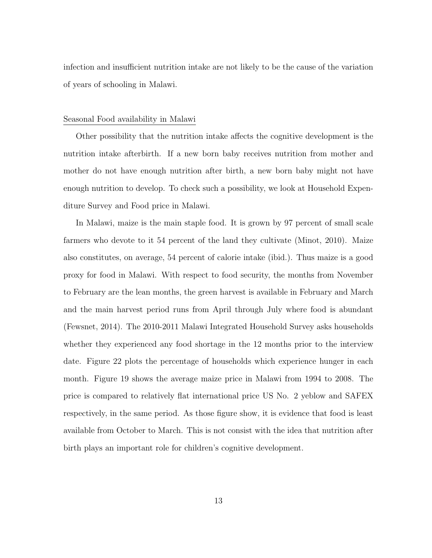infection and insufficient nutrition intake are not likely to be the cause of the variation of years of schooling in Malawi.

#### Seasonal Food availability in Malawi

Other possibility that the nutrition intake affects the cognitive development is the nutrition intake afterbirth. If a new born baby receives nutrition from mother and mother do not have enough nutrition after birth, a new born baby might not have enough nutrition to develop. To check such a possibility, we look at Household Expenditure Survey and Food price in Malawi.

In Malawi, maize is the main staple food. It is grown by 97 percent of small scale farmers who devote to it 54 percent of the land they cultivate (Minot, 2010). Maize also constitutes, on average, 54 percent of calorie intake (ibid.). Thus maize is a good proxy for food in Malawi. With respect to food security, the months from November to February are the lean months, the green harvest is available in February and March and the main harvest period runs from April through July where food is abundant (Fewsnet, 2014). The 2010-2011 Malawi Integrated Household Survey asks households whether they experienced any food shortage in the 12 months prior to the interview date. Figure 22 plots the percentage of households which experience hunger in each month. Figure 19 shows the average maize price in Malawi from 1994 to 2008. The price is compared to relatively flat international price US No. 2 yeblow and SAFEX respectively, in the same period. As those figure show, it is evidence that food is least available from October to March. This is not consist with the idea that nutrition after birth plays an important role for children's cognitive development.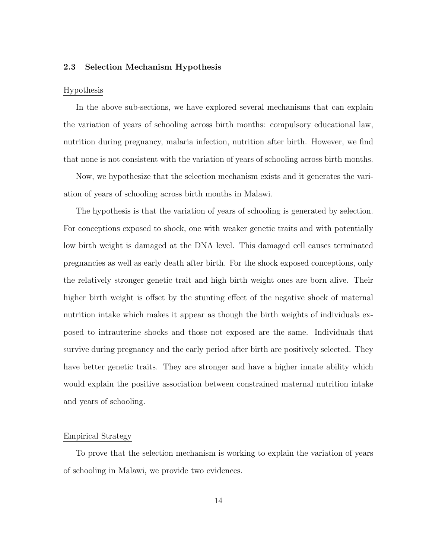#### 2.3 Selection Mechanism Hypothesis

#### Hypothesis

In the above sub-sections, we have explored several mechanisms that can explain the variation of years of schooling across birth months: compulsory educational law, nutrition during pregnancy, malaria infection, nutrition after birth. However, we find that none is not consistent with the variation of years of schooling across birth months.

Now, we hypothesize that the selection mechanism exists and it generates the variation of years of schooling across birth months in Malawi.

The hypothesis is that the variation of years of schooling is generated by selection. For conceptions exposed to shock, one with weaker genetic traits and with potentially low birth weight is damaged at the DNA level. This damaged cell causes terminated pregnancies as well as early death after birth. For the shock exposed conceptions, only the relatively stronger genetic trait and high birth weight ones are born alive. Their higher birth weight is offset by the stunting effect of the negative shock of maternal nutrition intake which makes it appear as though the birth weights of individuals exposed to intrauterine shocks and those not exposed are the same. Individuals that survive during pregnancy and the early period after birth are positively selected. They have better genetic traits. They are stronger and have a higher innate ability which would explain the positive association between constrained maternal nutrition intake and years of schooling.

#### Empirical Strategy

To prove that the selection mechanism is working to explain the variation of years of schooling in Malawi, we provide two evidences.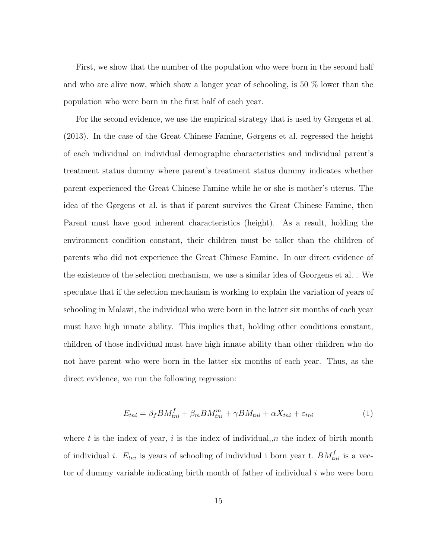First, we show that the number of the population who were born in the second half and who are alive now, which show a longer year of schooling, is 50 % lower than the population who were born in the first half of each year.

For the second evidence, we use the empirical strategy that is used by Gørgens et al. (2013). In the case of the Great Chinese Famine, Gørgens et al. regressed the height of each individual on individual demographic characteristics and individual parent's treatment status dummy where parent's treatment status dummy indicates whether parent experienced the Great Chinese Famine while he or she is mother's uterus. The idea of the Gørgens et al. is that if parent survives the Great Chinese Famine, then Parent must have good inherent characteristics (height). As a result, holding the environment condition constant, their children must be taller than the children of parents who did not experience the Great Chinese Famine. In our direct evidence of the existence of the selection mechanism, we use a similar idea of Gøorgens et al. . We speculate that if the selection mechanism is working to explain the variation of years of schooling in Malawi, the individual who were born in the latter six months of each year must have high innate ability. This implies that, holding other conditions constant, children of those individual must have high innate ability than other children who do not have parent who were born in the latter six months of each year. Thus, as the direct evidence, we run the following regression:

$$
E_{tni} = \beta_f BM_{tni}^f + \beta_m BM_{tni}^m + \gamma BM_{tni} + \alpha X_{tni} + \varepsilon_{tni}
$$
 (1)

where t is the index of year, i is the index of individual,  $n$  the index of birth month of individual *i*.  $E_{tni}$  is years of schooling of individual i born year t.  $BM_{tni}^f$  is a vector of dummy variable indicating birth month of father of individual  $i$  who were born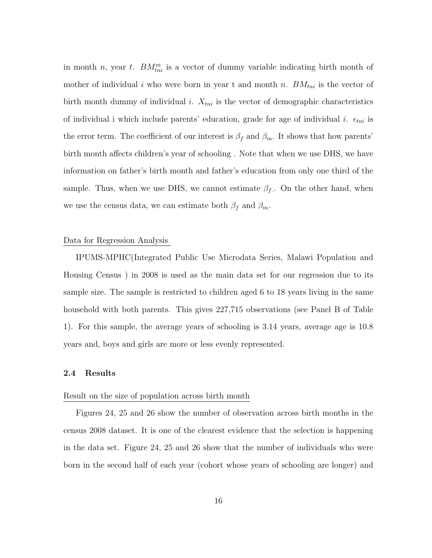in month *n*, year *t*.  $BM_{ini}^m$  is a vector of dummy variable indicating birth month of mother of individual i who were born in year t and month n.  $BM_{tni}$  is the vector of birth month dummy of individual i.  $X_{tni}$  is the vector of demographic characteristics of individual i which include parents' education, grade for age of individual i.  $\epsilon_{tni}$  is the error term. The coefficient of our interest is  $\beta_f$  and  $\beta_m$ . It shows that how parents' birth month affects children's year of schooling . Note that when we use DHS, we have information on father's birth month and father's education from only one third of the sample. Thus, when we use DHS, we cannot estimate  $\beta_f$ . On the other hand, when we use the census data, we can estimate both  $\beta_f$  and  $\beta_m$ .

#### Data for Regression Analysis

IPUMS-MPHC(Integrated Public Use Microdata Series, Malawi Population and Housing Census ) in 2008 is used as the main data set for our regression due to its sample size. The sample is restricted to children aged 6 to 18 years living in the same household with both parents. This gives 227,715 observations (see Panel B of Table 1). For this sample, the average years of schooling is 3.14 years, average age is 10.8 years and, boys and girls are more or less evenly represented.

#### 2.4 Results

#### Result on the size of population across birth month

Figures 24, 25 and 26 show the number of observation across birth months in the census 2008 dataset. It is one of the clearest evidence that the selection is happening in the data set. Figure 24, 25 and 26 show that the number of individuals who were born in the second half of each year (cohort whose years of schooling are longer) and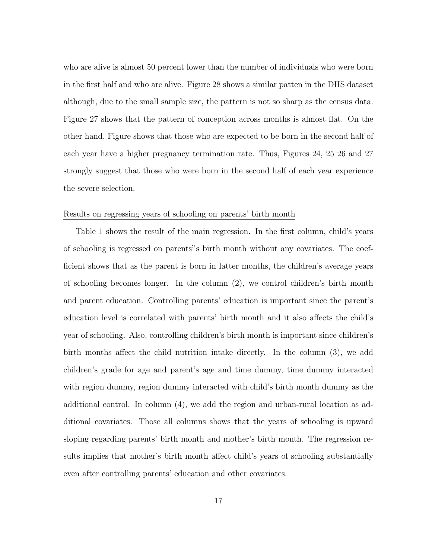who are alive is almost 50 percent lower than the number of individuals who were born in the first half and who are alive. Figure 28 shows a similar patten in the DHS dataset although, due to the small sample size, the pattern is not so sharp as the census data. Figure 27 shows that the pattern of conception across months is almost flat. On the other hand, Figure shows that those who are expected to be born in the second half of each year have a higher pregnancy termination rate. Thus, Figures 24, 25 26 and 27 strongly suggest that those who were born in the second half of each year experience the severe selection.

#### Results on regressing years of schooling on parents' birth month

Table 1 shows the result of the main regression. In the first column, child's years of schooling is regressed on parents"s birth month without any covariates. The coefficient shows that as the parent is born in latter months, the children's average years of schooling becomes longer. In the column (2), we control children's birth month and parent education. Controlling parents' education is important since the parent's education level is correlated with parents' birth month and it also affects the child's year of schooling. Also, controlling children's birth month is important since children's birth months affect the child nutrition intake directly. In the column (3), we add children's grade for age and parent's age and time dummy, time dummy interacted with region dummy, region dummy interacted with child's birth month dummy as the additional control. In column (4), we add the region and urban-rural location as additional covariates. Those all columns shows that the years of schooling is upward sloping regarding parents' birth month and mother's birth month. The regression results implies that mother's birth month affect child's years of schooling substantially even after controlling parents' education and other covariates.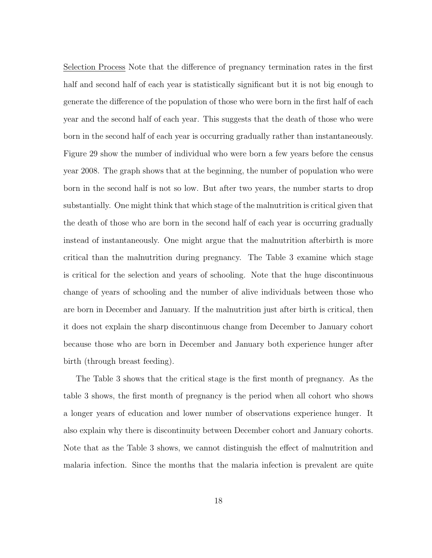Selection Process Note that the difference of pregnancy termination rates in the first half and second half of each year is statistically significant but it is not big enough to generate the difference of the population of those who were born in the first half of each year and the second half of each year. This suggests that the death of those who were born in the second half of each year is occurring gradually rather than instantaneously. Figure 29 show the number of individual who were born a few years before the census year 2008. The graph shows that at the beginning, the number of population who were born in the second half is not so low. But after two years, the number starts to drop substantially. One might think that which stage of the malnutrition is critical given that the death of those who are born in the second half of each year is occurring gradually instead of instantaneously. One might argue that the malnutrition afterbirth is more critical than the malnutrition during pregnancy. The Table 3 examine which stage is critical for the selection and years of schooling. Note that the huge discontinuous change of years of schooling and the number of alive individuals between those who are born in December and January. If the malnutrition just after birth is critical, then it does not explain the sharp discontinuous change from December to January cohort because those who are born in December and January both experience hunger after birth (through breast feeding).

The Table 3 shows that the critical stage is the first month of pregnancy. As the table 3 shows, the first month of pregnancy is the period when all cohort who shows a longer years of education and lower number of observations experience hunger. It also explain why there is discontinuity between December cohort and January cohorts. Note that as the Table 3 shows, we cannot distinguish the effect of malnutrition and malaria infection. Since the months that the malaria infection is prevalent are quite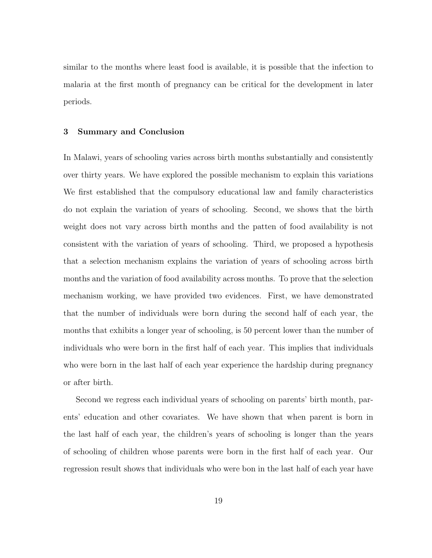similar to the months where least food is available, it is possible that the infection to malaria at the first month of pregnancy can be critical for the development in later periods.

#### 3 Summary and Conclusion

In Malawi, years of schooling varies across birth months substantially and consistently over thirty years. We have explored the possible mechanism to explain this variations We first established that the compulsory educational law and family characteristics do not explain the variation of years of schooling. Second, we shows that the birth weight does not vary across birth months and the patten of food availability is not consistent with the variation of years of schooling. Third, we proposed a hypothesis that a selection mechanism explains the variation of years of schooling across birth months and the variation of food availability across months. To prove that the selection mechanism working, we have provided two evidences. First, we have demonstrated that the number of individuals were born during the second half of each year, the months that exhibits a longer year of schooling, is 50 percent lower than the number of individuals who were born in the first half of each year. This implies that individuals who were born in the last half of each year experience the hardship during pregnancy or after birth.

Second we regress each individual years of schooling on parents' birth month, parents' education and other covariates. We have shown that when parent is born in the last half of each year, the children's years of schooling is longer than the years of schooling of children whose parents were born in the first half of each year. Our regression result shows that individuals who were bon in the last half of each year have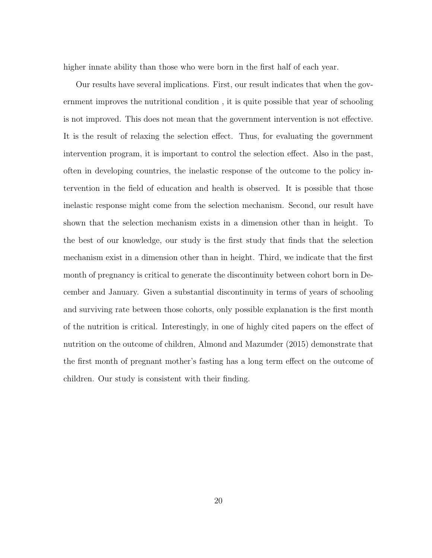higher innate ability than those who were born in the first half of each year.

Our results have several implications. First, our result indicates that when the government improves the nutritional condition , it is quite possible that year of schooling is not improved. This does not mean that the government intervention is not effective. It is the result of relaxing the selection effect. Thus, for evaluating the government intervention program, it is important to control the selection effect. Also in the past, often in developing countries, the inelastic response of the outcome to the policy intervention in the field of education and health is observed. It is possible that those inelastic response might come from the selection mechanism. Second, our result have shown that the selection mechanism exists in a dimension other than in height. To the best of our knowledge, our study is the first study that finds that the selection mechanism exist in a dimension other than in height. Third, we indicate that the first month of pregnancy is critical to generate the discontinuity between cohort born in December and January. Given a substantial discontinuity in terms of years of schooling and surviving rate between those cohorts, only possible explanation is the first month of the nutrition is critical. Interestingly, in one of highly cited papers on the effect of nutrition on the outcome of children, Almond and Mazumder (2015) demonstrate that the first month of pregnant mother's fasting has a long term effect on the outcome of children. Our study is consistent with their finding.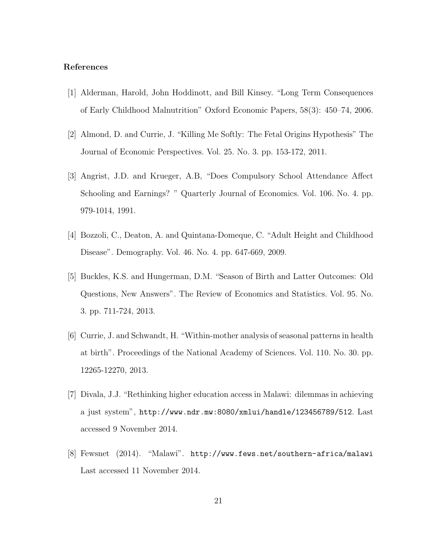#### References

- [1] Alderman, Harold, John Hoddinott, and Bill Kinsey. "Long Term Consequences of Early Childhood Malnutrition" Oxford Economic Papers, 58(3): 450–74, 2006.
- [2] Almond, D. and Currie, J. "Killing Me Softly: The Fetal Origins Hypothesis" The Journal of Economic Perspectives. Vol. 25. No. 3. pp. 153-172, 2011.
- [3] Angrist, J.D. and Krueger, A.B, "Does Compulsory School Attendance Affect Schooling and Earnings? " Quarterly Journal of Economics. Vol. 106. No. 4. pp. 979-1014, 1991.
- [4] Bozzoli, C., Deaton, A. and Quintana-Domeque, C. "Adult Height and Childhood Disease". Demography. Vol. 46. No. 4. pp. 647-669, 2009.
- [5] Buckles, K.S. and Hungerman, D.M. "Season of Birth and Latter Outcomes: Old Questions, New Answers". The Review of Economics and Statistics. Vol. 95. No. 3. pp. 711-724, 2013.
- [6] Currie, J. and Schwandt, H. "Within-mother analysis of seasonal patterns in health at birth". Proceedings of the National Academy of Sciences. Vol. 110. No. 30. pp. 12265-12270, 2013.
- [7] Divala, J.J. "Rethinking higher education access in Malawi: dilemmas in achieving a just system", http://www.ndr.mw:8080/xmlui/handle/123456789/512. Last accessed 9 November 2014.
- [8] Fewsnet (2014). "Malawi". http://www.fews.net/southern-africa/malawi Last accessed 11 November 2014.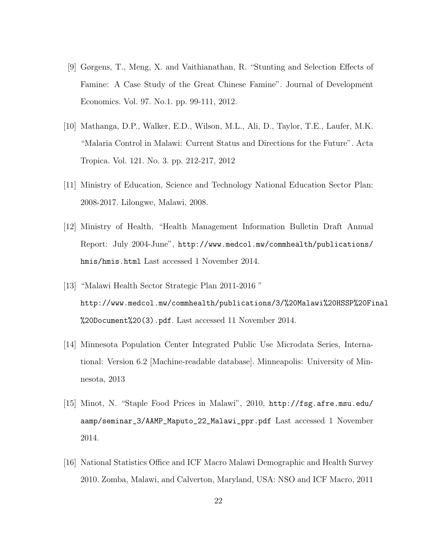- [9] Gørgens, T., Meng, X. and Vaithianathan, R. "Stunting and Selection Effects of Famine: A Case Study of the Great Chinese Famine". Journal of Development Economics. Vol. 97. No.1. pp. 99-111, 2012.
- [10] Mathanga, D.P., Walker, E.D., Wilson, M.L., Ali, D., Taylor, T.E., Laufer, M.K. "Malaria Control in Malawi: Current Status and Directions for the Future". Acta Tropica. Vol. 121. No. 3. pp. 212-217, 2012
- [11] Ministry of Education, Science and Technology National Education Sector Plan: 2008-2017. Lilongwe, Malawi, 2008.
- [12] Ministry of Health, "Health Management Information Bulletin Draft Annual Report: July 2004-June", http://www.medcol.mw/commhealth/publications/ hmis/hmis.html Last accessed 1 November 2014.
- [13] "Malawi Health Sector Strategic Plan 2011-2016 " http://www.medcol.mw/commhealth/publications/3/%20Malawi%20HSSP%20Final %20Document%20(3).pdf. Last accessed 11 November 2014.
- [14] Minnesota Population Center Integrated Public Use Microdata Series, International: Version 6.2 [Machine-readable database]. Minneapolis: University of Minnesota, 2013
- [15] Minot, N. "Staple Food Prices in Malawi", 2010, http://fsg.afre.msu.edu/ aamp/seminar\_3/AAMP\_Maputo\_22\_Malawi\_ppr.pdf Last accessed 1 November 2014.
- [16] National Statistics Office and ICF Macro Malawi Demographic and Health Survey 2010. Zomba, Malawi, and Calverton, Maryland, USA: NSO and ICF Macro, 2011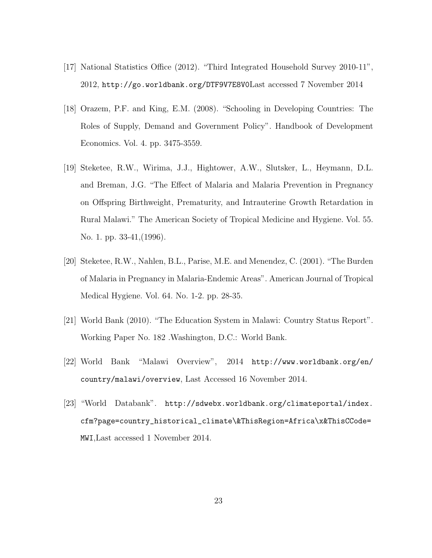- [17] National Statistics Office (2012). "Third Integrated Household Survey 2010-11", 2012, http://go.worldbank.org/DTF9V7E8V0Last accessed 7 November 2014
- [18] Orazem, P.F. and King, E.M. (2008). "Schooling in Developing Countries: The Roles of Supply, Demand and Government Policy". Handbook of Development Economics. Vol. 4. pp. 3475-3559.
- [19] Steketee, R.W., Wirima, J.J., Hightower, A.W., Slutsker, L., Heymann, D.L. and Breman, J.G. "The Effect of Malaria and Malaria Prevention in Pregnancy on Offspring Birthweight, Prematurity, and Intrauterine Growth Retardation in Rural Malawi." The American Society of Tropical Medicine and Hygiene. Vol. 55. No. 1. pp. 33-41, (1996).
- [20] Steketee, R.W., Nahlen, B.L., Parise, M.E. and Menendez, C. (2001). "The Burden of Malaria in Pregnancy in Malaria-Endemic Areas". American Journal of Tropical Medical Hygiene. Vol. 64. No. 1-2. pp. 28-35.
- [21] World Bank (2010). "The Education System in Malawi: Country Status Report". Working Paper No. 182 .Washington, D.C.: World Bank.
- [22] World Bank "Malawi Overview", 2014 http://www.worldbank.org/en/ country/malawi/overview, Last Accessed 16 November 2014.
- [23] "World Databank". http://sdwebx.worldbank.org/climateportal/index. cfm?page=country\_historical\_climate\&ThisRegion=Africa\x&ThisCCode= MWI,Last accessed 1 November 2014.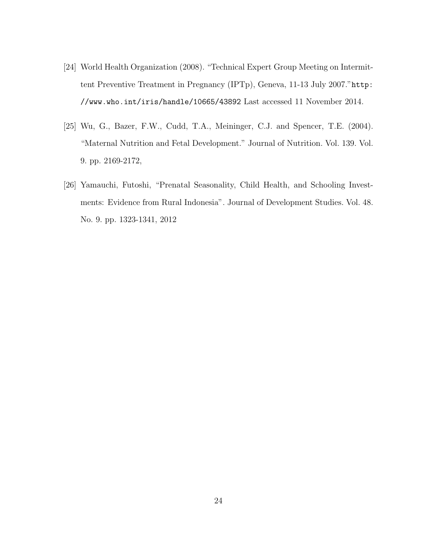- [24] World Health Organization (2008). "Technical Expert Group Meeting on Intermittent Preventive Treatment in Pregnancy (IPTp), Geneva, 11-13 July 2007."http: //www.who.int/iris/handle/10665/43892 Last accessed 11 November 2014.
- [25] Wu, G., Bazer, F.W., Cudd, T.A., Meininger, C.J. and Spencer, T.E. (2004). "Maternal Nutrition and Fetal Development." Journal of Nutrition. Vol. 139. Vol. 9. pp. 2169-2172,
- [26] Yamauchi, Futoshi, "Prenatal Seasonality, Child Health, and Schooling Investments: Evidence from Rural Indonesia". Journal of Development Studies. Vol. 48. No. 9. pp. 1323-1341, 2012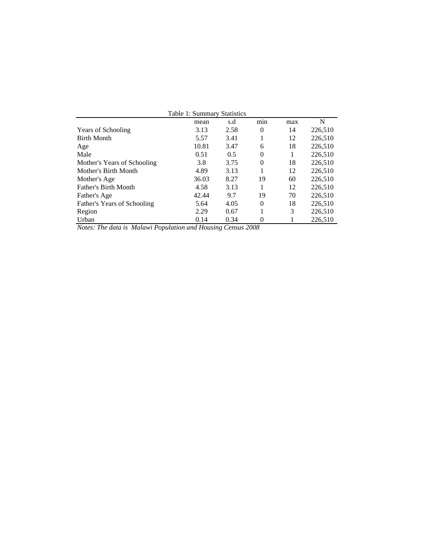| Table 1: Summary Statistics |       |      |                |     |         |  |  |  |  |  |  |
|-----------------------------|-------|------|----------------|-----|---------|--|--|--|--|--|--|
|                             | mean  | s.d  | $\cdot$<br>min | max | N       |  |  |  |  |  |  |
| <b>Years of Schooling</b>   | 3.13  | 2.58 | $\theta$       | 14  | 226,510 |  |  |  |  |  |  |
| <b>Birth Month</b>          | 5.57  | 3.41 |                | 12  | 226,510 |  |  |  |  |  |  |
| Age                         | 10.81 | 3.47 | 6              | 18  | 226,510 |  |  |  |  |  |  |
| Male                        | 0.51  | 0.5  | $\Omega$       | 1   | 226,510 |  |  |  |  |  |  |
| Mother's Years of Schooling | 3.8   | 3.75 | $\Omega$       | 18  | 226,510 |  |  |  |  |  |  |
| Mother's Birth Month        | 4.89  | 3.13 |                | 12  | 226,510 |  |  |  |  |  |  |
| Mother's Age                | 36.03 | 8.27 | 19             | 60  | 226,510 |  |  |  |  |  |  |
| Father's Birth Month        | 4.58  | 3.13 |                | 12  | 226,510 |  |  |  |  |  |  |
| Father's Age                | 42.44 | 9.7  | 19             | 70  | 226,510 |  |  |  |  |  |  |
| Father's Years of Schooling | 5.64  | 4.05 | $\Omega$       | 18  | 226,510 |  |  |  |  |  |  |
| Region                      | 2.29  | 0.67 |                | 3   | 226,510 |  |  |  |  |  |  |
| Urban                       | 0.14  | 0.34 | 0              |     | 226,510 |  |  |  |  |  |  |

*Notes: The data is Malawi Population and Housing Census 2008*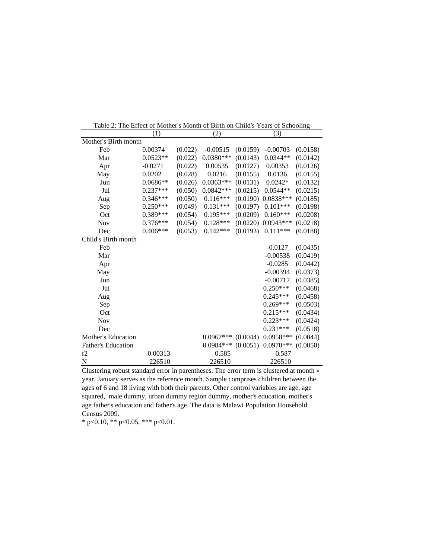|                           | (1)        |         | (2)         |          | (3)         |          |  |  |  |  |
|---------------------------|------------|---------|-------------|----------|-------------|----------|--|--|--|--|
| Mother's Birth month      |            |         |             |          |             |          |  |  |  |  |
| Feb                       | 0.00374    | (0.022) | $-0.00515$  | (0.0159) | $-0.00703$  | (0.0158) |  |  |  |  |
| Mar                       | $0.0523**$ | (0.022) | $0.0380***$ | (0.0143) | $0.0344**$  | (0.0142) |  |  |  |  |
| Apr                       | $-0.0271$  | (0.022) | 0.00535     | (0.0127) | 0.00353     | (0.0126) |  |  |  |  |
| May                       | 0.0202     | (0.028) | 0.0216      | (0.0155) | 0.0136      | (0.0155) |  |  |  |  |
| Jun                       | $0.0686**$ | (0.026) | $0.0363***$ | (0.0131) | $0.0242*$   | (0.0132) |  |  |  |  |
| Jul                       | $0.237***$ | (0.050) | $0.0842***$ | (0.0215) | $0.0544**$  | (0.0215) |  |  |  |  |
| Aug                       | $0.346***$ | (0.050) | $0.116***$  | (0.0190) | $0.0838***$ | (0.0185) |  |  |  |  |
| Sep                       | $0.250***$ | (0.049) | $0.131***$  | (0.0197) | $0.101***$  | (0.0198) |  |  |  |  |
| Oct                       | 0.389***   | (0.054) | $0.195***$  | (0.0209) | $0.160***$  | (0.0208) |  |  |  |  |
| <b>Nov</b>                | $0.376***$ | (0.054) | $0.128***$  | (0.0220) | $0.0943***$ | (0.0218) |  |  |  |  |
| Dec                       | $0.406***$ | (0.053) | $0.142***$  | (0.0193) | $0.111***$  | (0.0188) |  |  |  |  |
| Child's Birth month       |            |         |             |          |             |          |  |  |  |  |
| Feb                       |            |         |             |          | $-0.0127$   | (0.0435) |  |  |  |  |
| Mar                       |            |         |             |          | $-0.00538$  | (0.0419) |  |  |  |  |
| Apr                       |            |         |             |          | $-0.0285$   | (0.0442) |  |  |  |  |
| May                       |            |         |             |          | $-0.00394$  | (0.0373) |  |  |  |  |
| Jun                       |            |         |             |          | $-0.00717$  | (0.0385) |  |  |  |  |
| Jul                       |            |         |             |          | $0.250***$  | (0.0468) |  |  |  |  |
| Aug                       |            |         |             |          | $0.245***$  | (0.0458) |  |  |  |  |
| Sep                       |            |         |             |          | $0.269***$  | (0.0503) |  |  |  |  |
| Oct                       |            |         |             |          | $0.215***$  | (0.0434) |  |  |  |  |
| <b>Nov</b>                |            |         |             |          | $0.223***$  | (0.0424) |  |  |  |  |
| Dec                       |            |         |             |          | $0.231***$  | (0.0518) |  |  |  |  |
| Mother's Education        |            |         | $0.0967***$ | (0.0044) | $0.0958***$ | (0.0044) |  |  |  |  |
| <b>Father's Education</b> |            |         | 0.0984 ***  | (0.0051) | $0.0970***$ | (0.0050) |  |  |  |  |
| r2                        | 0.00313    |         | 0.585       |          | 0.587       |          |  |  |  |  |
| $\mathbf N$               | 226510     |         | 226510      |          | 226510      |          |  |  |  |  |

Table 2: The Effect of Mother's Month of Birth on Child's Years of Schooling

Clustering robust standard error in parentheses. The error term is clustered at month  $\times$ year. January serves as the reference month. Sample comprises children between the ages of 6 and 18 living with both their parents. Other control variables are age, age squared, male dummy, urban dummy region dummy, mother's education, mother's age father's education and father's age. The data is Malawi Population Household Census 2009.

\* p<0.10, \*\* p<0.05, \*\*\* p<0.01.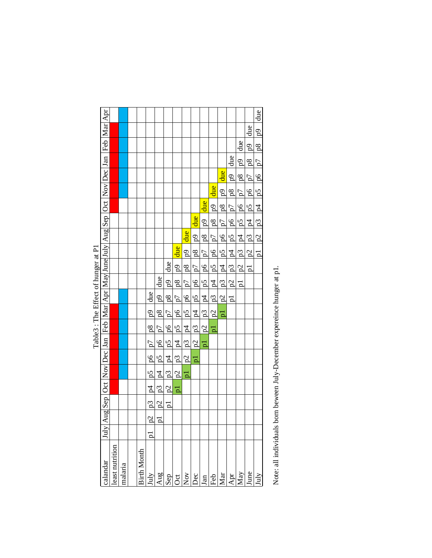|                                    |                                                                                                       |                |         |             |                  |                |                     |                                     |                                         |                           |                         |                 |                               |                          |                                                      |                                         | due                                                 |
|------------------------------------|-------------------------------------------------------------------------------------------------------|----------------|---------|-------------|------------------|----------------|---------------------|-------------------------------------|-----------------------------------------|---------------------------|-------------------------|-----------------|-------------------------------|--------------------------|------------------------------------------------------|-----------------------------------------|-----------------------------------------------------|
|                                    | July Aug Sep  Oct  Nov Dec  Jan  Feb  Mar Apr May June July  Aug Sep  Oct  Nov Dec  Jan  Feb  Mar Apr |                |         |             |                  |                |                     |                                     |                                         |                           |                         |                 |                               |                          |                                                      | due                                     | $\frac{6}{9}$                                       |
|                                    |                                                                                                       |                |         |             |                  |                |                     |                                     |                                         |                           |                         |                 |                               |                          |                                                      |                                         | p1 $ p2 $ $ p3 $ $ p4 $ $ p5 $ $ p6 $ $ p7 $ $ p8 $ |
|                                    |                                                                                                       |                |         |             |                  |                |                     |                                     |                                         |                           |                         |                 |                               | due                      | $ p3 $ $ p4 $ $ p5 $ $ p6 $ $ p7 $ $ p8 $ $ p9 $ due | $p2$ $p3$ $p4$ $p5$ $p6$ $p7$ $p8$ $p9$ |                                                     |
|                                    |                                                                                                       |                |         |             |                  |                |                     |                                     |                                         |                           |                         |                 | due                           | 6d                       |                                                      |                                         |                                                     |
|                                    |                                                                                                       |                |         |             |                  |                |                     |                                     |                                         |                           |                         | due             | $\frac{6}{9}$                 | $p4$ $p5$ $p6$ $p7$ $p8$ |                                                      |                                         |                                                     |
|                                    |                                                                                                       |                |         |             |                  |                |                     |                                     |                                         |                           | due                     | 6d <sub>1</sub> | $\frac{8}{10}$                |                          |                                                      |                                         |                                                     |
|                                    |                                                                                                       |                |         |             |                  |                |                     |                                     |                                         | due                       | $\overline{5}$          | $\overline{8d}$ | $\frac{1}{2}$   $\frac{1}{2}$ |                          |                                                      |                                         |                                                     |
|                                    |                                                                                                       |                |         |             |                  |                |                     |                                     | due                                     | $6d$ 8d                   | $\frac{1}{2}$           | $\overline{p}$  |                               |                          |                                                      |                                         |                                                     |
|                                    |                                                                                                       |                |         |             |                  |                |                     |                                     |                                         |                           | $\overline{5}$          | $\frac{6}{10}$  | ⊤<br> פו                      |                          |                                                      |                                         |                                                     |
| Table3: The Effect of hunger at P1 |                                                                                                       |                |         |             |                  |                | due                 |                                     |                                         | $\mathbb{P}$ <sup>1</sup> |                         | $\frac{5}{5}$   | $\frac{1}{4}$                 |                          | $\frac{1}{2}$                                        | $\overline{P}$                          |                                                     |
|                                    |                                                                                                       |                |         |             |                  | due            |                     | p5  p6  p7  p8  p9 <mark>due</mark> | $p2$ $p3$ $p4$ $p5$ $p6$ $p7$ $p8$ $p9$ |                           |                         | $\overline{z}$  | $\frac{2}{5}$                 | $p2$ $p3$                | bl                                                   |                                         |                                                     |
|                                    |                                                                                                       |                |         |             | due              | $\frac{6}{9}$  | $6d$ 8d             |                                     |                                         | $p2$ $p3$ $p4$ $p5$ $p6$  | $\overline{z}$          | $p_3$           | $\frac{2}{2}$                 | p<br>D                   |                                                      |                                         |                                                     |
|                                    |                                                                                                       |                |         |             | ęd               | $^{8}$         |                     |                                     |                                         |                           | <u>.</u><br>ഇ           | $\frac{2}{5}$   | đ                             |                          |                                                      |                                         |                                                     |
|                                    |                                                                                                       |                |         |             | $\frac{8}{10}$   | $\frac{1}{2}$  | $ p6 $ $ p7 $       |                                     |                                         |                           | $\frac{1}{2}$           | þ               |                               |                          |                                                      |                                         |                                                     |
|                                    |                                                                                                       |                |         |             | $\frac{1}{2}$    | $\frac{1}{10}$ |                     |                                     |                                         |                           | $\overline{\mathsf{p}}$ |                 |                               |                          |                                                      |                                         |                                                     |
|                                    |                                                                                                       |                |         |             | $\frac{8}{5}$    | $\frac{5}{9}$  |                     |                                     |                                         | pl                        |                         |                 |                               |                          |                                                      |                                         |                                                     |
|                                    |                                                                                                       |                |         |             | $\frac{5}{9}$    | $\overline{q}$ |                     | $p1$ $p2$ $p3$ $p4$                 |                                         |                           |                         |                 |                               |                          |                                                      |                                         |                                                     |
|                                    |                                                                                                       |                |         |             | z<br>Z           | $p_3$          | $p2$ $p3$ $p4$ $p5$ |                                     |                                         |                           |                         |                 |                               |                          |                                                      |                                         |                                                     |
|                                    |                                                                                                       |                |         |             | $\overline{p}$ 3 | p2             | $\mathbf{p}$        |                                     |                                         |                           |                         |                 |                               |                          |                                                      |                                         |                                                     |
|                                    |                                                                                                       |                |         |             | ದಿ               | $\overline{p}$ |                     |                                     |                                         |                           |                         |                 |                               |                          |                                                      |                                         |                                                     |
|                                    |                                                                                                       |                |         |             | $\mathbf{a}$     |                |                     |                                     |                                         |                           |                         |                 |                               |                          |                                                      |                                         |                                                     |
|                                    | calandar                                                                                              | east nutrition | malaria | Birth Month | ÌuÌ              | Aug            | Sep                 | $\cot$                              | Nov                                     | Dec                       | Jan                     | Feb             | Mar                           | Apr                      | May                                                  | June                                    | huly                                                |

Note: all individuals born beween July-December expereince hunger at p1. Note: all individuals born beween July-December expereince hunger at p1.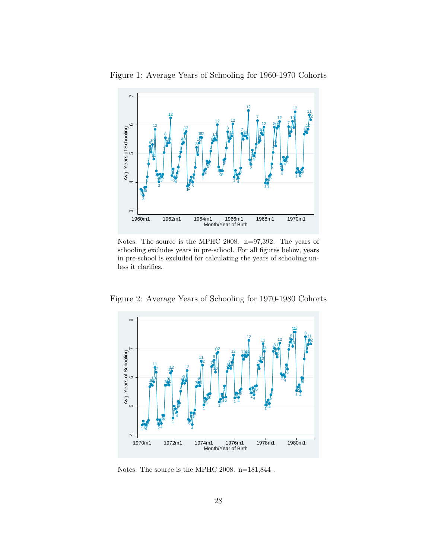

Figure 1: Average Years of Schooling for 1960-1970 Cohorts

Notes: The source is the MPHC 2008. n=97,392. The years of schooling excludes years in pre-school. For all figures below, years in pre-school is excluded for calculating the years of schooling unless it clarifies.



Figure 2: Average Years of Schooling for 1970-1980 Cohorts

Notes: The source is the MPHC 2008. n=181,844 .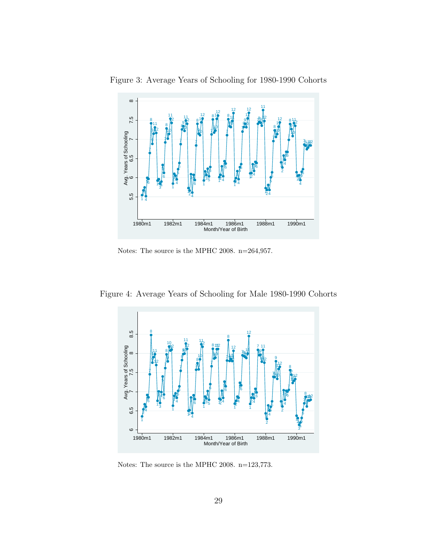

Figure 3: Average Years of Schooling for 1980-1990 Cohorts

Notes: The source is the MPHC 2008. n=264,957.

Figure 4: Average Years of Schooling for Male 1980-1990 Cohorts



Notes: The source is the MPHC 2008. n=123,773.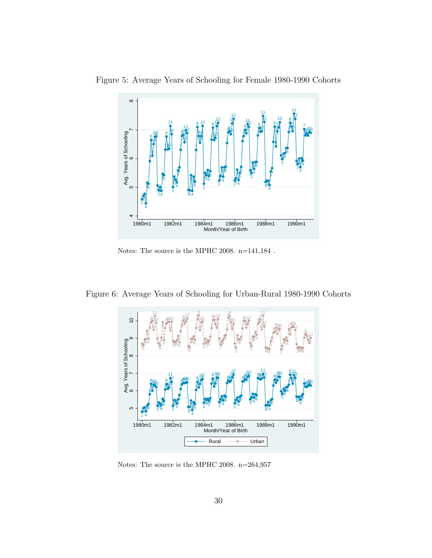

Figure 5: Average Years of Schooling for Female 1980-1990 Cohorts

Notes: The source is the MPHC 2008. n=141,184 .

Figure 6: Average Years of Schooling for Urban-Rural 1980-1990 Cohorts



Notes: The source is the MPHC 2008. n=264,957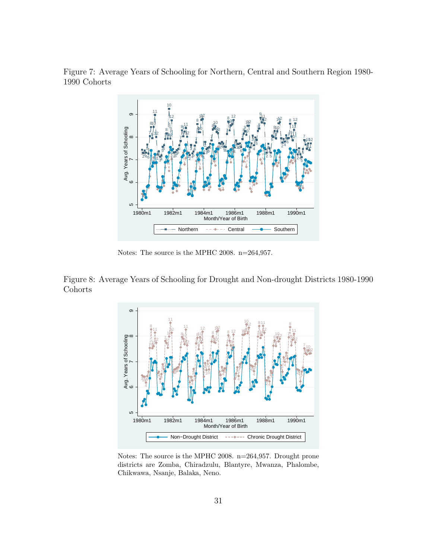Figure 7: Average Years of Schooling for Northern, Central and Southern Region 1980- 1990 Cohorts



Notes: The source is the MPHC 2008. n=264,957.

Figure 8: Average Years of Schooling for Drought and Non-drought Districts 1980-1990 Cohorts



Notes: The source is the MPHC 2008. n=264,957. Drought prone districts are Zomba, Chiradzulu, Blantyre, Mwanza, Phalombe, Chikwawa, Nsanje, Balaka, Neno.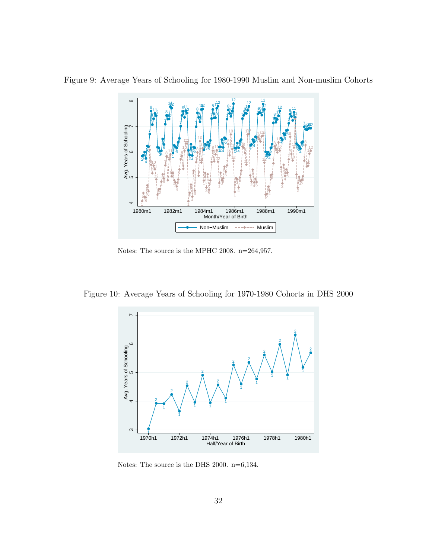

Figure 9: Average Years of Schooling for 1980-1990 Muslim and Non-muslim Cohorts

Notes: The source is the MPHC 2008. n=264,957.

Figure 10: Average Years of Schooling for 1970-1980 Cohorts in DHS 2000



Notes: The source is the DHS 2000. n=6,134.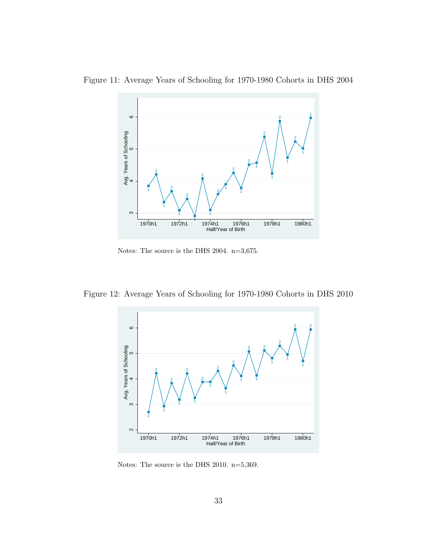

Figure 11: Average Years of Schooling for 1970-1980 Cohorts in DHS 2004

Notes: The source is the DHS 2004. n=3,675.

Figure 12: Average Years of Schooling for 1970-1980 Cohorts in DHS 2010



Notes: The source is the DHS 2010. n=5,369.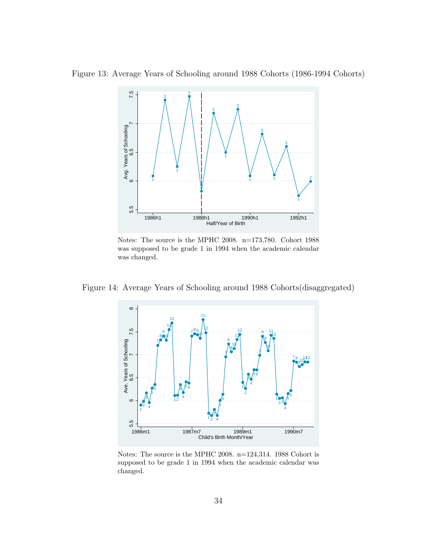Figure 13: Average Years of Schooling around 1988 Cohorts (1986-1994 Cohorts)



Notes: The source is the MPHC 2008. n=173,780. Cohort 1988 was supposed to be grade 1 in 1994 when the academic calendar was changed.

Figure 14: Average Years of Schooling around 1988 Cohorts(disaggregated)



Notes: The source is the MPHC 2008. n=124,314. 1988 Cohort is supposed to be grade 1 in 1994 when the academic calendar was changed.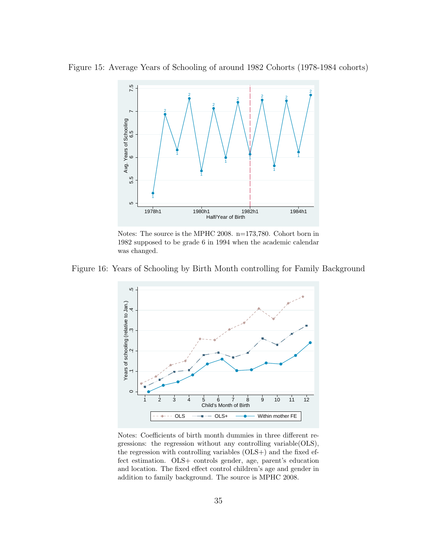Figure 15: Average Years of Schooling of around 1982 Cohorts (1978-1984 cohorts)



Notes: The source is the MPHC 2008. n=173,780. Cohort born in 1982 supposed to be grade 6 in 1994 when the academic calendar was changed.

Figure 16: Years of Schooling by Birth Month controlling for Family Background



Notes: Coefficients of birth month dummies in three different regressions: the regression without any controlling variable(OLS), the regression with controlling variables (OLS+) and the fixed effect estimation. OLS+ controls gender, age, parent's education and location. The fixed effect control children's age and gender in addition to family background. The source is MPHC 2008.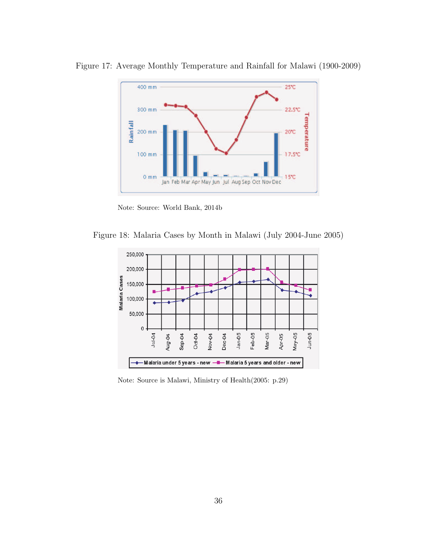

Figure 17: Average Monthly Temperature and Rainfall for Malawi (1900-2009)

Note: Source: World Bank, 2014b

Figure 18: Malaria Cases by Month in Malawi (July 2004-June 2005)



Note: Source is Malawi, Ministry of Health(2005: p.29)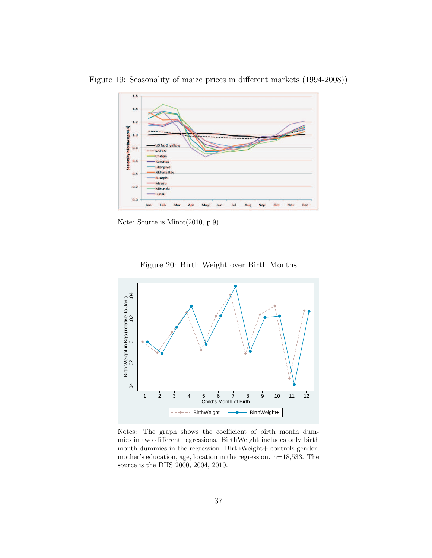

Figure 19: Seasonality of maize prices in different markets (1994-2008))

Note: Source is Minot(2010, p.9)

Figure 20: Birth Weight over Birth Months



Notes: The graph shows the coefficient of birth month dummies in two different regressions. BirthWeight includes only birth month dummies in the regression. BirthWeight+ controls gender, mother's education, age, location in the regression. n=18,533. The source is the DHS 2000, 2004, 2010.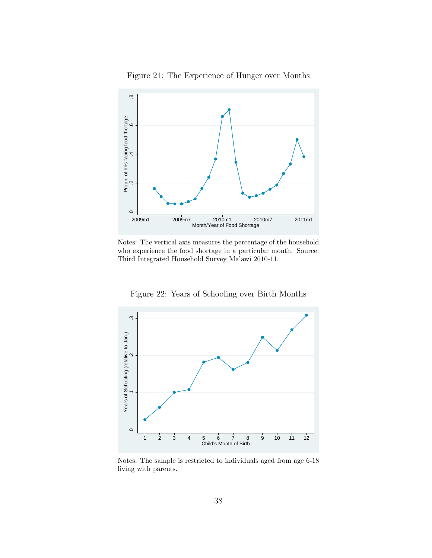

Figure 21: The Experience of Hunger over Months

Notes: The vertical axis measures the percentage of the household who experience the food shortage in a particular month. Source: Third Integrated Household Survey Malawi 2010-11.

Figure 22: Years of Schooling over Birth Months



Notes: The sample is restricted to individuals aged from age 6-18 living with parents.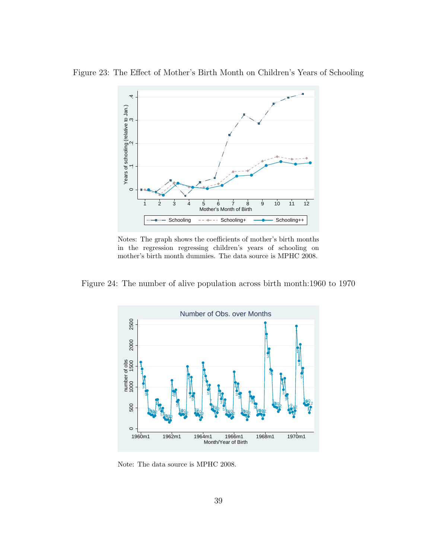

Figure 23: The Effect of Mother's Birth Month on Children's Years of Schooling

Notes: The graph shows the coefficients of mother's birth months in the regression regressing children's years of schooling on mother's birth month dummies. The data source is MPHC 2008.

Figure 24: The number of alive population across birth month:1960 to 1970



Note: The data source is MPHC 2008.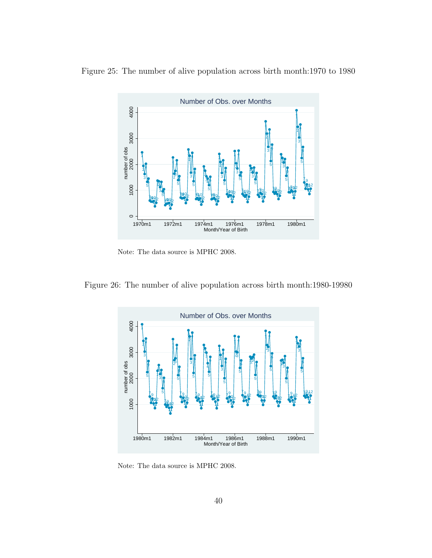

Figure 25: The number of alive population across birth month:1970 to 1980

Note: The data source is MPHC 2008.

Figure 26: The number of alive population across birth month:1980-19980



Note: The data source is MPHC 2008.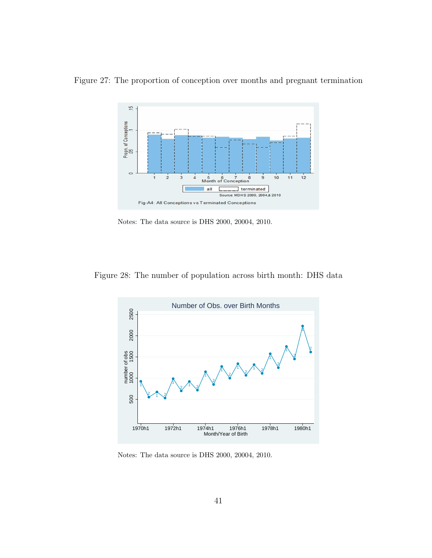

Figure 27: The proportion of conception over months and pregnant termination

Notes: The data source is DHS 2000, 20004, 2010.

Figure 28: The number of population across birth month: DHS data



Notes: The data source is DHS 2000, 20004, 2010.